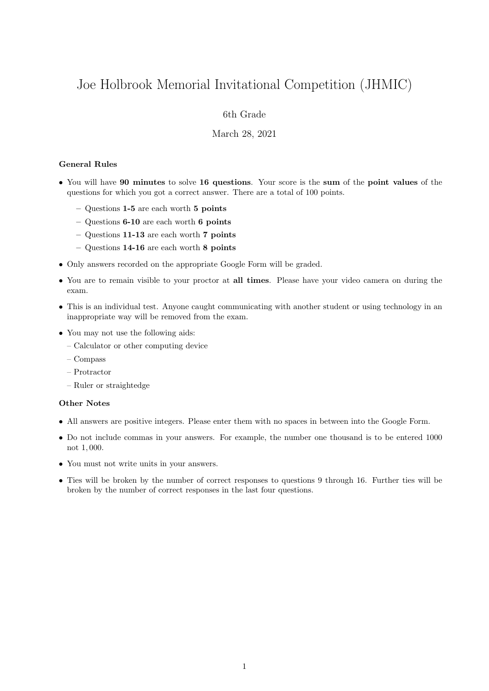# Joe Holbrook Memorial Invitational Competition (JHMIC)

## 6th Grade

### March 28, 2021

#### General Rules

- You will have 90 minutes to solve 16 questions. Your score is the sum of the point values of the questions for which you got a correct answer. There are a total of 100 points.
	- Questions 1-5 are each worth 5 points
	- Questions 6-10 are each worth 6 points
	- Questions 11-13 are each worth 7 points
	- Questions 14-16 are each worth 8 points
- Only answers recorded on the appropriate Google Form will be graded.
- You are to remain visible to your proctor at all times. Please have your video camera on during the exam.
- This is an individual test. Anyone caught communicating with another student or using technology in an inappropriate way will be removed from the exam.
- You may not use the following aids:
	- Calculator or other computing device
	- Compass
	- Protractor
	- Ruler or straightedge

#### Other Notes

- All answers are positive integers. Please enter them with no spaces in between into the Google Form.
- Do not include commas in your answers. For example, the number one thousand is to be entered 1000 not 1, 000.
- You must not write units in your answers.
- Ties will be broken by the number of correct responses to questions 9 through 16. Further ties will be broken by the number of correct responses in the last four questions.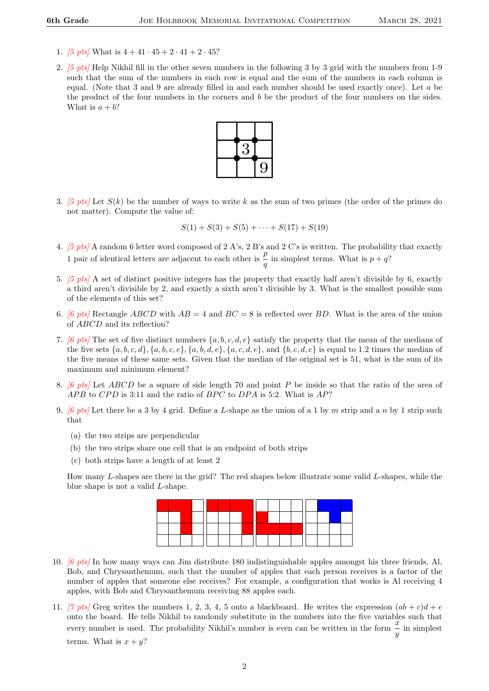- 1. [5 pts] What is  $4 + 41 \cdot 45 + 2 \cdot 41 + 2 \cdot 45$ ?
- 2. [5 pts] Help Nikhil fill in the other seven numbers in the following 3 by 3 grid with the numbers from 1-9 such that the sum of the numbers in each row is equal and the sum of the numbers in each column is equal. (Note that 3 and 9 are already filled in and each number should be used exactly once). Let a be the product of the four numbers in the corners and  $b$  be the product of the four numbers on the sides. What is  $a + b$ ?



3. [5 pts] Let  $S(k)$  be the number of ways to write k as the sum of two primes (the order of the primes do not matter). Compute the value of:

$$
S(1) + S(3) + S(5) + \cdots + S(17) + S(19)
$$

- 4. [5 pts] A random 6 letter word composed of 2 A's, 2 B's and 2 C's is written. The probability that exactly 1 pair of identical letters are adjacent to each other is  $\frac{p}{q}$  in simplest terms. What is  $p + q$ ?
- 5. [5 pts] A set of distinct positive integers has the property that exactly half aren't divisible by 6, exactly a third aren't divisible by 2, and exactly a sixth aren't divisible by 3. What is the smallest possible sum of the elements of this set?
- 6. [6 pts] Rectangle ABCD with  $AB = 4$  and  $BC = 8$  is reflected over BD. What is the area of the union of ABCD and its reflection?
- 7. [6 pts] The set of five distinct numbers  $\{a, b, c, d, e\}$  satisfy the property that the mean of the medians of the five sets  $\{a, b, c, d\}$ ,  $\{a, b, c, e\}$ ,  $\{a, b, d, e\}$ ,  $\{a, c, d, e\}$ , and  $\{b, c, d, e\}$  is equal to 1.2 times the median of the five means of these same sets. Given that the median of the original set is 51, what is the sum of its maximum and minimum element?
- 8. [6 pts] Let ABCD be a square of side length 70 and point P be inside so that the ratio of the area of  $APB$  to  $CPD$  is 3:11 and the ratio of  $BPC$  to  $DPA$  is 5:2. What is  $AP$ ?
- 9. [6 pts] Let there be a 3 by 4 grid. Define a L-shape as the union of a 1 by m strip and a n by 1 strip such that
	- (a) the two strips are perpendicular
	- (b) the two strips share one cell that is an endpoint of both strips
	- (c) both strips have a length of at least 2

How many L-shapes are there in the grid? The red shapes below illustrate some valid L-shapes, while the blue shape is not a valid L-shape.



- 10. [6 pts] In how many ways can Jim distribute 180 indistinguishable apples amongst his three friends, Al, Bob, and Chrysanthemum, such that the number of apples that each person receives is a factor of the number of apples that someone else receives? For example, a configuration that works is Al receiving 4 apples, with Bob and Chrysanthemum receiving 88 apples each.
- 11. [7 pts] Greg writes the numbers 1, 2, 3, 4, 5 onto a blackboard. He writes the expression  $(ab + c)d + e$ onto the board. He tells Nikhil to randomly substitute in the numbers into the five variables such that every number is used. The probability Nikhil's number is even can be written in the form  $\frac{x}{y}$  in simplest terms. What is  $x + y$ ?